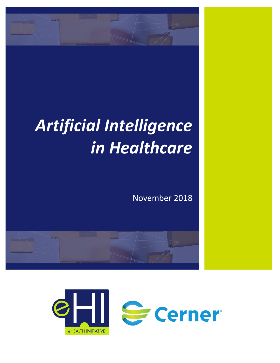

# *Artificial Intelligence in Healthcare*

November 2018



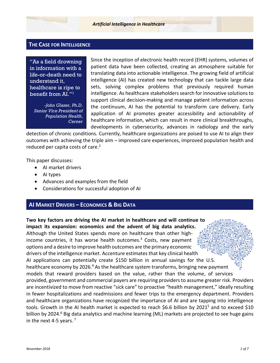#### **THE CASE FOR INTELLIGENCE**

"As a field drowning in information with a life-or-death need to understand it, healthcare is ripe to benefit from AI." 1

*-John Glaser, Ph.D. Senior Vice President of Population Health, Cerner*

Since the inception of electronic health record (EHR) systems, volumes of patient data have been collected, creating an atmosphere suitable for translating data into actionable intelligence. The growing field of artificial intelligence (AI) has created new technology that can tackle large data sets, solving complex problems that previously required human intelligence. As healthcare stakeholders search for innovative solutions to support clinical decision-making and manage patient information across the continuum, AI has the potential to transform care delivery. Early application of AI promotes greater accessibility and actionability of healthcare information, which can result in more clinical breakthroughs, developments in cybersecurity, advances in radiology and the early

detection of chronic conditions. Currently, healthcare organizations are poised to use AI to align their outcomes with achieving the triple aim – improved care experiences, improved population health and reduced per capita costs of care. 2

This paper discusses:

- AI market drivers
- AI types
- Advances and examples from the field
- Considerations for successful adoption of AI

#### **AI MARKET DRIVERS – ECONOMICS & BIG DATA**

**Two key factors are driving the AI market in healthcare and will continue to impact its expansion: economics and the advent of big data analytics.** Although the United States spends more on healthcare than other highincome countries, it has worse health outcomes.<sup>3</sup> Costs, new payment options and a desire to improve health outcomes are the primary economic drivers of the intelligence market. Accenture estimates that key clinical health AI applications can potentially create \$150 billion in annual savings for the U.S. healthcare economy by 2026.<sup>4</sup> As the healthcare system transforms, bringing new payment models that reward providers based on the value, rather than the volume, of services provided, government and commercial payers are requiring providers to assume greater risk. Providers are incentivized to move from reactive "sick care" to proactive "health management," ideally resulting in fewer hospitalizations and readmissions and fewer trips to the emergency department. Providers and healthcare organizations have recognized the importance of AI and are tapping into intelligence tools. Growth in the AI health market is expected to reach \$6.6 billion by 2021<sup>5</sup> and to exceed \$10 billion by 2024.<sup>6</sup> Big data analytics and machine learning (ML) markets are projected to see huge gains in the next 4-5 years. $<sup>7</sup>$ </sup>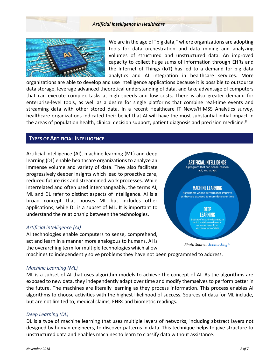#### *Artificial Intelligence in Healthcare*



We are in the age of "big data," where organizations are adopting tools for data orchestration and data mining and analyzing volumes of structured and unstructured data. An improved capacity to collect huge sums of information through EHRs and the Internet of Things (IoT) has led to a demand for big data analytics and AI integration in healthcare services. More

organizations are able to develop and use intelligence applications because it is possible to outsource data storage, leverage advanced theoretical understanding of data, and take advantage of computers that can execute complex tasks at high speeds and low costs. There is also greater demand for enterprise-level tools, as well as a desire for single platforms that combine real-time events and streaming data with other stored data. In a recent Healthcare IT News/HIMSS Analytics survey, healthcare organizations indicated their belief that AI will have the most substantial initial impact in the areas of population health, clinical decision support, patient diagnosis and precision medicine.<sup>8</sup>

# **TYPES OF ARTIFICIAL INTELLIGENCE**

Artificial intelligence (AI), machine learning (ML) and deep learning (DL) enable healthcare organizations to analyze an immense volume and variety of data. They also facilitate progressively deeper insights which lead to proactive care, reduced future risk and streamlined work processes. While interrelated and often used interchangeably, the terms AI, ML and DL refer to distinct aspects of intelligence. AI is a broad concept that houses ML but includes other applications, while DL is a subset of ML. It is important to understand the relationship between the technologies.

#### *Artificial intelligence (AI)*

AI technologies enable computers to sense, comprehend, act and learn in a manner more analogous to humans. AI is the overarching term for multiple technologies which allow



*Photo Source[: Seema Singh](https://towardsdatascience.com/cousins-of-artificial-intelligence-dda4edc27b55)*

machines to independently solve problems they have not been programmed to address.

#### *Machine Learning (ML)*

ML is a subset of AI that uses algorithm models to achieve the concept of AI. As the algorithms are exposed to new data, they independently adapt over time and modify themselves to perform better in the future. The machines are literally learning as they process information. This process enables AI algorithms to choose activities with the highest likelihood of success. Sources of data for ML include, but are not limited to, medical claims, EHRs and biometric readings.

#### *Deep Learning (DL)*

DL is a type of machine learning that uses multiple layers of networks, including abstract layers not designed by human engineers, to discover patterns in data. This technique helps to give structure to unstructured data and enables machines to learn to classify data without assistance.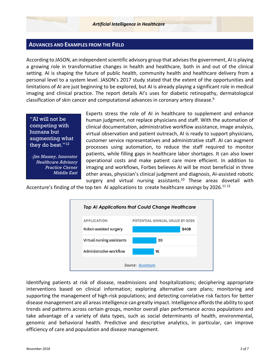#### **ADVANCES AND EXAMPLES FROM THE FIELD**

According to JASON, an independent scientific advisory group that advises the government, AI is playing a growing role in transformative changes in health and healthcare, both in and out of the clinical setting. AI is shaping the future of public health, community health and healthcare delivery from a personal level to a system level. JASON's 2017 study stated that the extent of the opportunities and limitations of AI are just beginning to be explored, but AI is already playing a significant role in medical imaging and clinical practice. The report details AI's uses for diabetic retinopathy, dermatological classification of skin cancer and computational advances in coronary artery disease. 9

"AI will not be competing with humans but augmenting what they do best." [12](#page-3-0)

*-Jim Massey, Innovator Healthcare Advisory Practice Cerner Middle East*

<span id="page-3-0"></span>Experts stress the role of AI in healthcare to supplement and enhance human judgment, not replace physicians and staff. With the automation of clinical documentation, administrative workflow assistance, image analysis, virtual observation and patient outreach, AI is ready to support physicians, customer service representatives and administrative staff. AI can augment processes using automation, to reduce the staff required to monitor patients, while filling gaps in healthcare labor shortages. It can also lower operational costs and make patient care more efficient. In addition to imaging and workflows, Forbes believes AI will be most beneficial in three other areas, physician's clinical judgment and diagnosis, AI-assisted robotic surgery and virtual nursing assistants.<sup>10</sup> These areas dovetail with

Accenture's finding of the top ten AI applications to create healthcare *savings* by 2026. 11 12



Identifying patients at risk of disease, readmissions and hospitalizations; deciphering appropriate interventions based on clinical information; exploring alternative care plans; monitoring and supporting the management of high-risk populations; and detecting correlative risk factors for better disease management are all areas intelligence can greatly impact. Intelligence affords the ability to spot trends and patterns across certain groups, monitor overall plan performance across populations and take advantage of a variety of data types, such as social determinants of health, environmental, genomic and behavioral health. Predictive and descriptive analytics, in particular, can improve efficiency of care and population and disease management.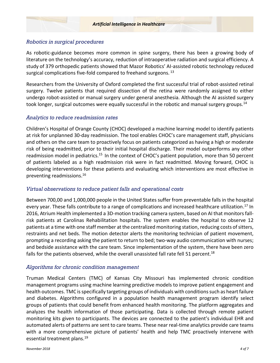# *Robotics in surgical procedures*

As robotic-guidance becomes more common in spine surgery, there has been a growing body of literature on the technology's accuracy, reduction of intraoperative radiation and surgical efficiency. A study of 379 orthopedic patients showed that Mazor Robotics' AI-assisted robotic technology reduced surgical complications five-fold compared to freehand surgeons.<sup>13</sup>

Researchers from the University of Oxford completed the first successful trial of robot-assisted retinal surgery. Twelve patients that required dissection of the retina were randomly assigned to either undergo robot-assisted or manual surgery under general anesthesia. Although the AI assisted surgery took longer, surgical outcomes were equally successful in the robotic and manual surgery groups.<sup>14</sup>

# *Analytics to reduce readmission rates*

Children's Hospital of Orange County (CHOC) developed a machine learning model to identify patients at risk for unplanned 30-day readmission. The tool enables CHOC's care management staff, physicians and others on the care team to proactively focus on patients categorized as having a high or moderate risk of being readmitted, prior to their initial hospital discharge. Their model outperforms any other readmission model in pediatrics.<sup>15</sup> In the context of CHOC's patient population, more than 50 percent of patients labeled as a high readmission risk were in fact readmitted. Moving forward, CHOC is developing interventions for these patients and evaluating which interventions are most effective in preventing readmissions.<sup>16</sup>

# *Virtual observations to reduce patient falls and operational costs*

Between 700,00 and 1,000,000 people in the United States suffer from preventable falls in the hospital every year. These falls contribute to a range of complications and increased healthcare utilization.<sup>17</sup> In 2016, Atrium Health implemented a 3D-motion tracking camera system, based on AI that monitorsfallrisk patients at Carolinas Rehabilitation hospitals. The system enables the hospital to observe 12 patients at a time with one staff member at the centralized monitoring station, reducing costs of sitters, restraints and net beds. The motion detector alerts the monitoring technician of patient movement, prompting a recording asking the patient to return to bed; two-way audio communication with nurses; and bedside assistance with the care team. Since implementation of the system, there have been zero falls for the patients observed, while the overall unassisted fall rate fell 51 percent.<sup>18</sup>

# *Algorithms for chronic condition management*

Truman Medical Centers (TMC) of Kansas City Missouri has implemented chronic condition management programs using machine learning predictive models to improve patient engagement and health outcomes. TMC is specifically targeting groups of individuals with conditions such as heart failure and diabetes. Algorithms configured in a population health management program identify select groups of patients that could benefit from enhanced health monitoring. The platform aggregates and analyzes the health information of those participating. Data is collected through remote patient monitoring kits given to participants. The devices are connected to the patient's individual EHR and automated alerts of patterns are sent to care teams. These near real-time analytics provide care teams with a more comprehensive picture of patients' health and help TMC proactively intervene with essential treatment plans. 19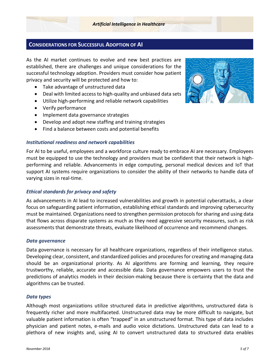# **CONSIDERATIONS FOR SUCCESSFUL ADOPTION OF AI**

As the AI market continues to evolve and new best practices are established, there are challenges and unique considerations for the successful technology adoption. Providers must consider how patient privacy and security will be protected and how to:

- Take advantage of unstructured data
- Deal with limited access to high-quality and unbiased data sets
- Utilize high-performing and reliable network capabilities
- Verify performance
- Implement data governance strategies
- Develop and adopt new staffing and training strategies
- Find a balance between costs and potential benefits

#### *Institutional readiness and network capabilities*

For AI to be useful, employees and a workforce culture ready to embrace AI are necessary. Employees must be equipped to use the technology and providers must be confident that their network is highperforming and reliable. Advancements in edge computing, personal medical devices and IoT that support AI systems require organizations to consider the ability of their networks to handle data of varying sizes in real-time.

#### *Ethical standards for privacy and safety*

As advancements in AI lead to increased vulnerabilities and growth in potential cyberattacks, a clear focus on safeguarding patient information, establishing ethical standards and improving cybersecurity must be maintained. Organizations need to strengthen permission protocols for sharing and using data that flows across disparate systems as much as they need aggressive security measures, such as risk assessments that demonstrate threats, evaluate likelihood of occurrence and recommend changes.

#### *Data governance*

Data governance is necessary for all healthcare organizations, regardless of their intelligence status. Developing clear, consistent, and standardized policies and procedures for creating and managing data should be an organizational priority. As AI algorithms are forming and learning, they require trustworthy, reliable, accurate and accessible data. Data governance empowers users to trust the predictions of analytics models in their decision-making because there is certainty that the data and algorithms can be trusted.

#### *Data types*

Although most organizations utilize structured data in predictive algorithms, unstructured data is frequently richer and more multifaceted. Unstructured data may be more difficult to navigate, but valuable patient information is often "trapped" in an unstructured format. This type of data includes physician and patient notes, e-mails and audio voice dictations. Unstructured data can lead to a plethora of new insights and, using AI to convert unstructured data to structured data enables

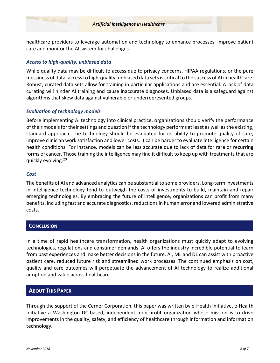healthcare providers to leverage automation and technology to enhance processes, improve patient care and monitor the AI system for challenges.

# *Access to high-quality, unbiased data*

While quality data may be difficult to access due to privacy concerns, HIPAA regulations, or the pure messiness of data, access to high-quality, unbiased data sets is critical to the success of AI in healthcare. Robust, curated data sets allow for training in particular applications and are essential. A lack of data curating will hinder AI training and cause inaccurate diagnoses. Unbiased data is a safeguard against algorithms that skew data against vulnerable or underrepresented groups.

# *Evaluation of technology models*

Before implementing AI technology into clinical practice, organizations should verify the performance of their models for their settings and question if the technology performs at least as well as the existing, standard approach. The technology should be evaluated for its ability to promote quality of care, improve clinician work satisfaction and lower costs. It can be harder to evaluate intelligence for certain health conditions. For instance, models can be less accurate due to lack of data for rare or recurring forms of cancer. Those training the intelligence may find it difficult to keep up with treatments that are quickly evolving.<sup>20</sup>

### *Cost*

The benefits of AI and advanced analytics can be substantial to some providers. Long-term investments in intelligence technology tend to outweigh the costs of investments to build, maintain and repair emerging technologies. By embracing the future of intelligence, organizations can profit from many benefits, including fast and accurate diagnostics, reductionsin human error and lowered administrative costs.

# **CONCLUSION**

In a time of rapid healthcare transformation, health organizations must quickly adapt to evolving technologies, regulations and consumer demands. AI offers the industry incredible potential to learn from past experiences and make better decisions in the future. AI, ML and DL can assist with proactive patient care, reduced future risk and streamlined work processes. The continued emphasis on cost, quality and care outcomes will perpetuate the advancement of AI technology to realize additional adoption and value across healthcare.

# **ABOUT THIS PAPER**

Through the support of the Cerner Corporation, this paper was written by e-Health Initiative. e-Health Initiative a Washington DC-based, independent, non-profit organization whose mission is to drive improvements in the quality, safety, and efficiency of healthcare through information and information technology.